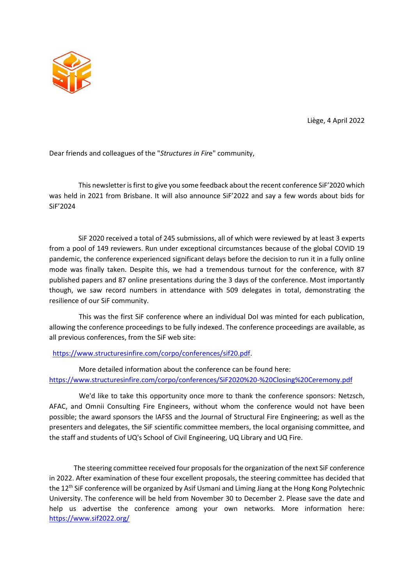

Liège, 4 April 2022

Dear friends and colleagues of the "*Structures in Fir*e" community,

This newsletter is first to give you some feedback about the recent conference SiF'2020 which was held in 2021 from Brisbane. It will also announce SiF'2022 and say a few words about bids for SiF'2024

SiF 2020 received a total of 245 submissions, all of which were reviewed by at least 3 experts from a pool of 149 reviewers. Run under exceptional circumstances because of the global COVID 19 pandemic, the conference experienced significant delays before the decision to run it in a fully online mode was finally taken. Despite this, we had a tremendous turnout for the conference, with 87 published papers and 87 online presentations during the 3 days of the conference. Most importantly though, we saw record numbers in attendance with 509 delegates in total, demonstrating the resilience of our SiF community.

This was the first SiF conference where an individual DoI was minted for each publication, allowing the conference proceedings to be fully indexed. The conference proceedings are available, as all previous conferences, from the SiF web site:

[https://www.structuresinfire.com/corpo/conferences/sif20.pdf.](https://www.structuresinfire.com/corpo/conferences/sif20.pdf)

More detailed information about the conference can be found here: <https://www.structuresinfire.com/corpo/conferences/SiF2020%20-%20Closing%20Ceremony.pdf>

We'd like to take this opportunity once more to thank the conference sponsors: Netzsch, AFAC, and Omnii Consulting Fire Engineers, without whom the conference would not have been possible; the award sponsors the IAFSS and the Journal of Structural Fire Engineering; as well as the presenters and delegates, the SiF scientific committee members, the local organising committee, and the staff and students of UQ's School of Civil Engineering, UQ Library and UQ Fire.

The steering committee received four proposals for the organization of the next SiF conference in 2022. After examination of these four excellent proposals, the steering committee has decided that the 12th SiF conference will be organized by Asif Usmani and Liming Jiang at the Hong Kong Polytechnic University. The conference will be held from November 30 to December 2. Please save the date and help us advertise the conference among your own networks. More information here: <https://www.sif2022.org/>